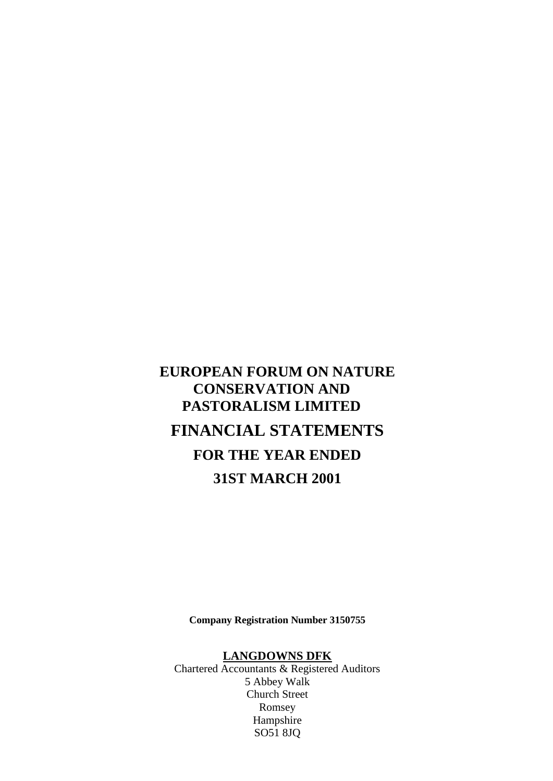# **EUROPEAN FORUM ON NATURE CONSERVATION AND PASTORALISM LIMITED FINANCIAL STATEMENTS FOR THE YEAR ENDED 31ST MARCH 2001**

**Company Registration Number 3150755**

### **LANGDOWNS DFK**

Chartered Accountants & Registered Auditors 5 Abbey Walk Church Street Romsey Hampshire SO51 8JQ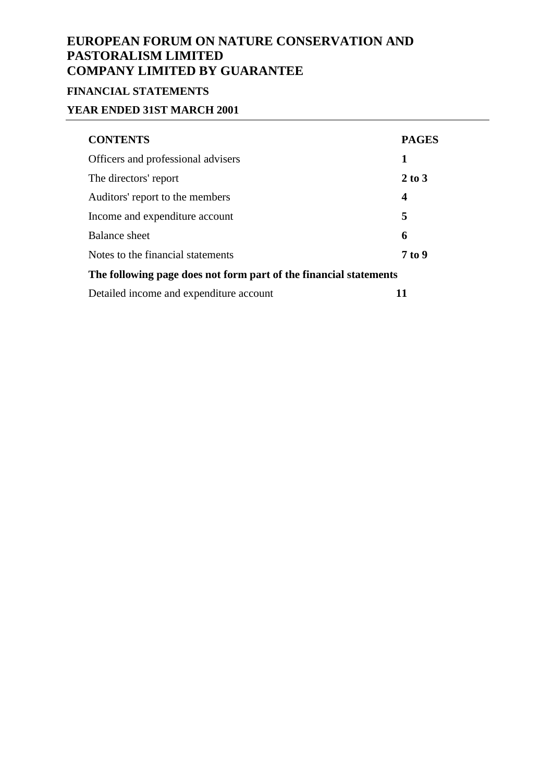# **FINANCIAL STATEMENTS**

## **YEAR ENDED 31ST MARCH 2001**

| <b>CONTENTS</b>                                                   | <b>PAGES</b>     |  |  |  |
|-------------------------------------------------------------------|------------------|--|--|--|
| Officers and professional advisers                                | 1                |  |  |  |
| The directors' report                                             | $2$ to $3$       |  |  |  |
| Auditors' report to the members                                   | $\boldsymbol{4}$ |  |  |  |
| Income and expenditure account                                    | 5                |  |  |  |
| Balance sheet                                                     | 6                |  |  |  |
| Notes to the financial statements                                 | 7 to 9           |  |  |  |
| The following page does not form part of the financial statements |                  |  |  |  |
| Detailed income and expenditure account                           | 11               |  |  |  |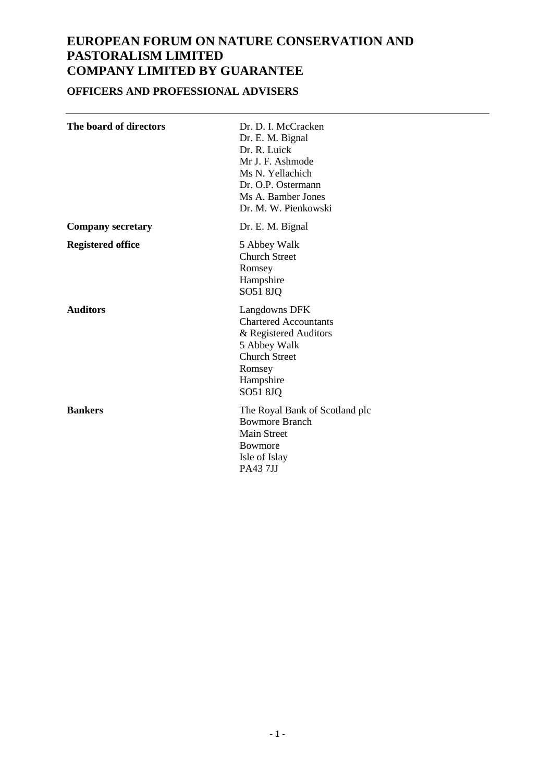## **OFFICERS AND PROFESSIONAL ADVISERS**

| The board of directors   | Dr. D. I. McCracken<br>Dr. E. M. Bignal<br>Dr. R. Luick<br>Mr J. F. Ashmode<br>Ms N. Yellachich<br>Dr. O.P. Ostermann<br>Ms A. Bamber Jones<br>Dr. M. W. Pienkowski |
|--------------------------|---------------------------------------------------------------------------------------------------------------------------------------------------------------------|
| <b>Company secretary</b> | Dr. E. M. Bignal                                                                                                                                                    |
| <b>Registered office</b> | 5 Abbey Walk<br><b>Church Street</b><br>Romsey<br>Hampshire<br>SO51 8JQ                                                                                             |
| <b>Auditors</b>          | Langdowns DFK<br><b>Chartered Accountants</b><br>& Registered Auditors<br>5 Abbey Walk<br><b>Church Street</b><br>Romsey<br>Hampshire<br>SO51 8JQ                   |
| <b>Bankers</b>           | The Royal Bank of Scotland plc<br><b>Bowmore Branch</b><br><b>Main Street</b><br>Bowmore<br>Isle of Islay<br>PA437JJ                                                |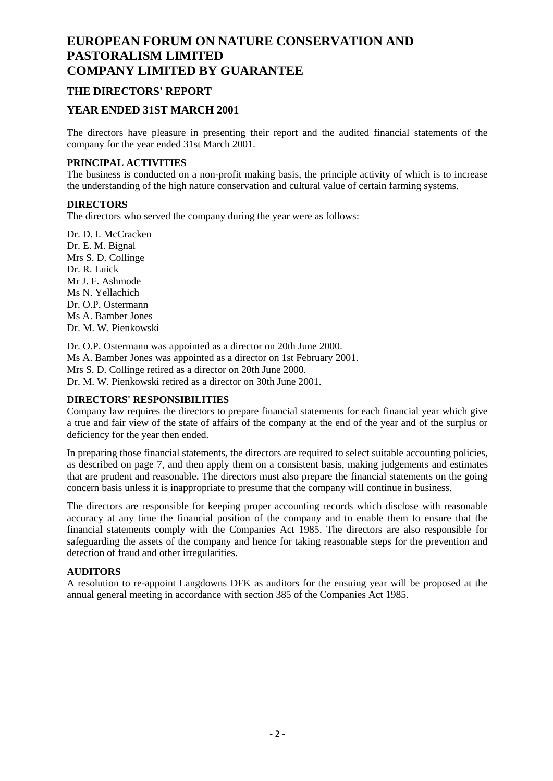### **THE DIRECTORS' REPORT**

### **YEAR ENDED 31ST MARCH 2001**

The directors have pleasure in presenting their report and the audited financial statements of the company for the year ended 31st March 2001.

#### **PRINCIPAL ACTIVITIES**

The business is conducted on a non-profit making basis, the principle activity of which is to increase the understanding of the high nature conservation and cultural value of certain farming systems.

#### **DIRECTORS**

The directors who served the company during the year were as follows:

Dr. D. I. McCracken Dr. E. M. Bignal Mrs S. D. Collinge Dr. R. Luick Mr J. F. Ashmode Ms N. Yellachich Dr. O.P. Ostermann Ms A. Bamber Jones Dr. M. W. Pienkowski

Dr. O.P. Ostermann was appointed as a director on 20th June 2000. Ms A. Bamber Jones was appointed as a director on 1st February 2001. Mrs S. D. Collinge retired as a director on 20th June 2000. Dr. M. W. Pienkowski retired as a director on 30th June 2001.

#### **DIRECTORS' RESPONSIBILITIES**

Company law requires the directors to prepare financial statements for each financial year which give a true and fair view of the state of affairs of the company at the end of the year and of the surplus or deficiency for the year then ended.

In preparing those financial statements, the directors are required to select suitable accounting policies, as described on page 7, and then apply them on a consistent basis, making judgements and estimates that are prudent and reasonable. The directors must also prepare the financial statements on the going concern basis unless it is inappropriate to presume that the company will continue in business.

The directors are responsible for keeping proper accounting records which disclose with reasonable accuracy at any time the financial position of the company and to enable them to ensure that the financial statements comply with the Companies Act 1985. The directors are also responsible for safeguarding the assets of the company and hence for taking reasonable steps for the prevention and detection of fraud and other irregularities.

#### **AUDITORS**

A resolution to re-appoint Langdowns DFK as auditors for the ensuing year will be proposed at the annual general meeting in accordance with section 385 of the Companies Act 1985.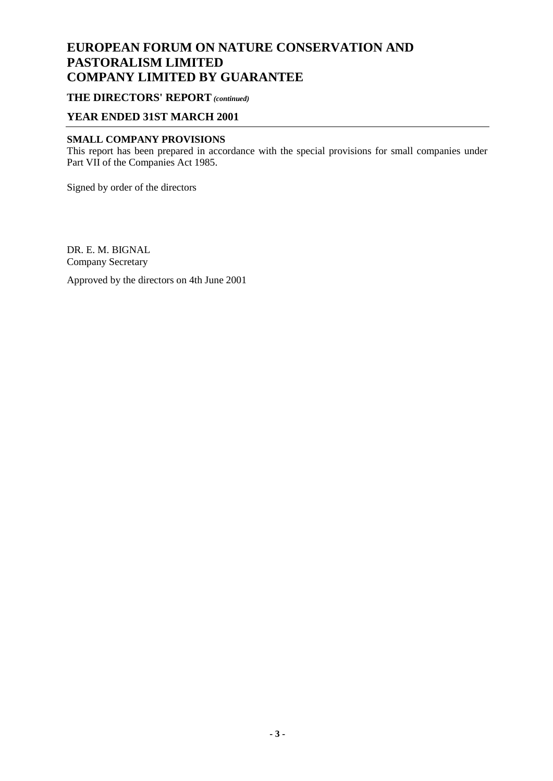### **THE DIRECTORS' REPORT** *(continued)*

### **YEAR ENDED 31ST MARCH 2001**

### **SMALL COMPANY PROVISIONS**

This report has been prepared in accordance with the special provisions for small companies under Part VII of the Companies Act 1985.

Signed by order of the directors

DR. E. M. BIGNAL Company Secretary

Approved by the directors on 4th June 2001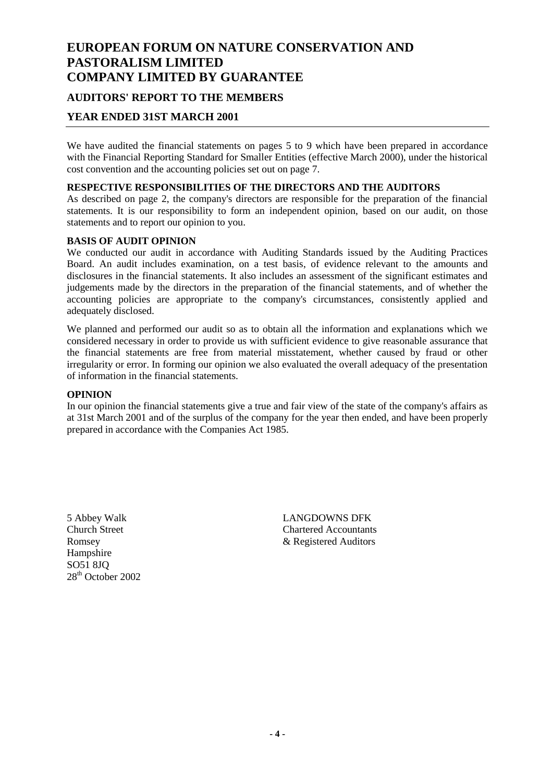# **EUROPEAN FORUM ON NATURE CONSERVATION AND PASTORALISM LIMITED COMPANY LIMITED BY GUARANTEE AUDITORS' REPORT TO THE MEMBERS**

### **YEAR ENDED 31ST MARCH 2001**

We have audited the financial statements on pages 5 to 9 which have been prepared in accordance with the Financial Reporting Standard for Smaller Entities (effective March 2000), under the historical cost convention and the accounting policies set out on page 7.

#### **RESPECTIVE RESPONSIBILITIES OF THE DIRECTORS AND THE AUDITORS**

As described on page 2, the company's directors are responsible for the preparation of the financial statements. It is our responsibility to form an independent opinion, based on our audit, on those statements and to report our opinion to you.

#### **BASIS OF AUDIT OPINION**

We conducted our audit in accordance with Auditing Standards issued by the Auditing Practices Board. An audit includes examination, on a test basis, of evidence relevant to the amounts and disclosures in the financial statements. It also includes an assessment of the significant estimates and judgements made by the directors in the preparation of the financial statements, and of whether the accounting policies are appropriate to the company's circumstances, consistently applied and adequately disclosed.

We planned and performed our audit so as to obtain all the information and explanations which we considered necessary in order to provide us with sufficient evidence to give reasonable assurance that the financial statements are free from material misstatement, whether caused by fraud or other irregularity or error. In forming our opinion we also evaluated the overall adequacy of the presentation of information in the financial statements.

#### **OPINION**

In our opinion the financial statements give a true and fair view of the state of the company's affairs as at 31st March 2001 and of the surplus of the company for the year then ended, and have been properly prepared in accordance with the Companies Act 1985.

Hampshire  $SO<sub>51</sub>$  8JO 28<sup>th</sup> October 2002

5 Abbey Walk LANGDOWNS DFK Church Street Chartered Accountants Romsey & Registered Auditors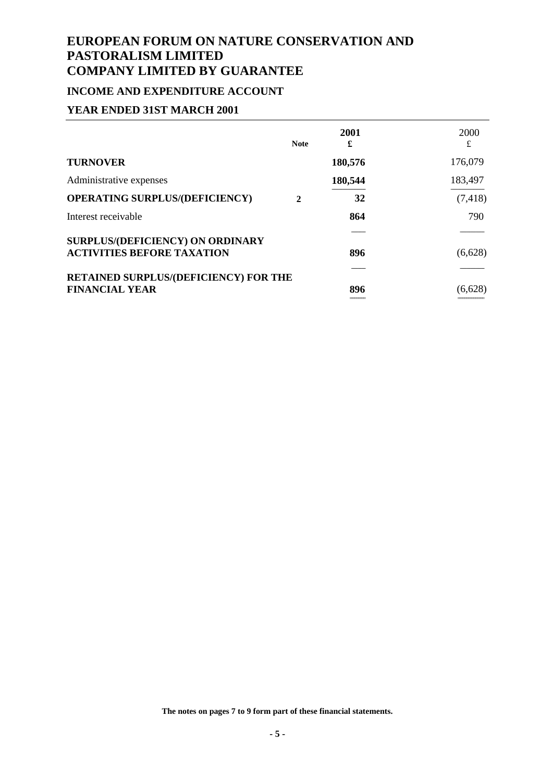### **INCOME AND EXPENDITURE ACCOUNT**

### **YEAR ENDED 31ST MARCH 2001**

|                                       | <b>Note</b>  | 2001<br>£ | 2000<br>£ |
|---------------------------------------|--------------|-----------|-----------|
| <b>TURNOVER</b>                       |              | 180,576   | 176,079   |
| Administrative expenses               |              | 180,544   | 183,497   |
| <b>OPERATING SURPLUS/(DEFICIENCY)</b> | $\mathbf{2}$ | 32        | (7, 418)  |
| Interest receivable                   |              | 864       | 790       |
| SURPLUS/(DEFICIENCY) ON ORDINARY      |              |           |           |
| <b>ACTIVITIES BEFORE TAXATION</b>     |              | 896       | (6,628)   |
| RETAINED SURPLUS/(DEFICIENCY) FOR THE |              |           |           |
| <b>FINANCIAL YEAR</b>                 |              | 896       | (6,628)   |
|                                       |              | -----     |           |

**The notes on pages 7 to 9 form part of these financial statements.**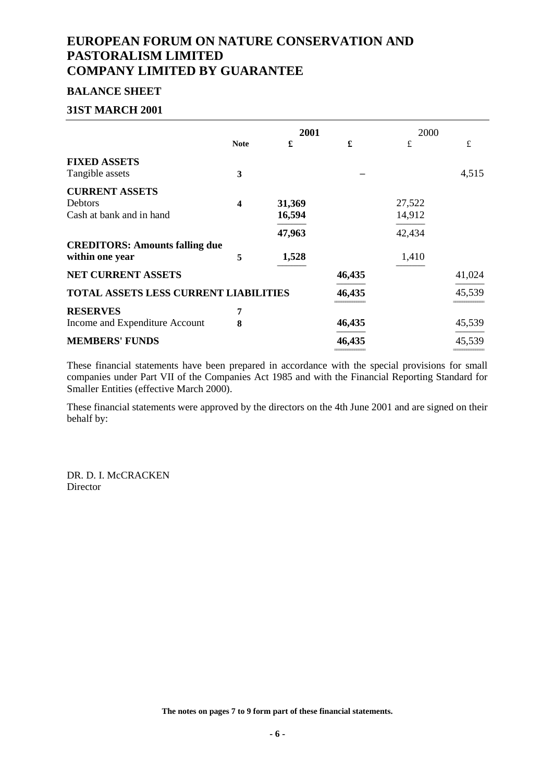#### **BALANCE SHEET**

#### **31ST MARCH 2001**

|                                              |             | 2001   |        | 2000   |        |
|----------------------------------------------|-------------|--------|--------|--------|--------|
|                                              | <b>Note</b> | £      | £      | £      | £      |
| <b>FIXED ASSETS</b>                          |             |        |        |        |        |
| Tangible assets                              | 3           |        |        |        | 4,515  |
| <b>CURRENT ASSETS</b>                        |             |        |        |        |        |
| Debtors                                      | 4           | 31,369 |        | 27,522 |        |
| Cash at bank and in hand                     |             | 16,594 |        | 14,912 |        |
|                                              |             | 47,963 |        | 42,434 |        |
| <b>CREDITORS: Amounts falling due</b>        |             |        |        |        |        |
| within one year                              | 5           | 1,528  |        | 1,410  |        |
| <b>NET CURRENT ASSETS</b>                    |             |        | 46,435 |        | 41,024 |
| <b>TOTAL ASSETS LESS CURRENT LIABILITIES</b> |             |        | 46,435 |        | 45,539 |
| <b>RESERVES</b>                              | 7           |        |        |        |        |
| Income and Expenditure Account               | 8           |        | 46,435 |        | 45,539 |
| <b>MEMBERS' FUNDS</b>                        |             |        | 46,435 |        | 45,539 |
|                                              |             |        |        |        |        |

These financial statements have been prepared in accordance with the special provisions for small companies under Part VII of the Companies Act 1985 and with the Financial Reporting Standard for Smaller Entities (effective March 2000).

These financial statements were approved by the directors on the 4th June 2001 and are signed on their behalf by:

DR. D. I. McCRACKEN Director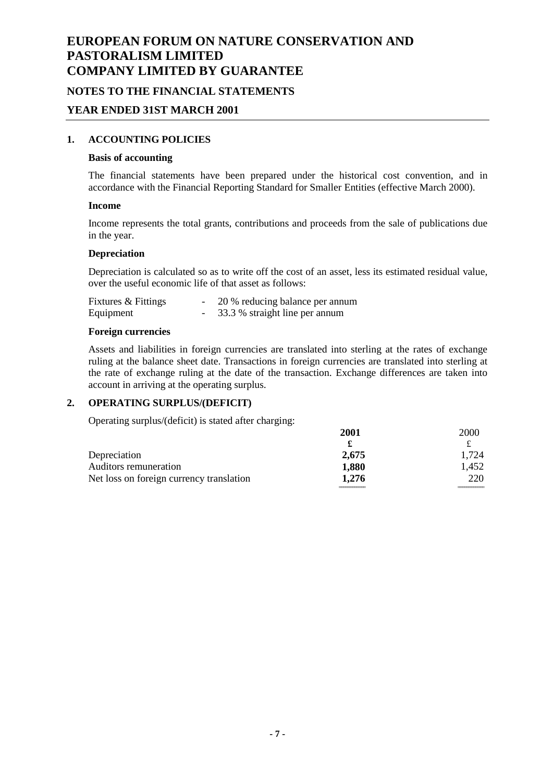### **NOTES TO THE FINANCIAL STATEMENTS**

#### **YEAR ENDED 31ST MARCH 2001**

#### **1. ACCOUNTING POLICIES**

#### **Basis of accounting**

The financial statements have been prepared under the historical cost convention, and in accordance with the Financial Reporting Standard for Smaller Entities (effective March 2000).

#### **Income**

Income represents the total grants, contributions and proceeds from the sale of publications due in the year.

#### **Depreciation**

Depreciation is calculated so as to write off the cost of an asset, less its estimated residual value, over the useful economic life of that asset as follows:

| Fixtures & Fittings | 20 % reducing balance per annum |
|---------------------|---------------------------------|
| Equipment           | 33.3 % straight line per annum  |

#### **Foreign currencies**

Assets and liabilities in foreign currencies are translated into sterling at the rates of exchange ruling at the balance sheet date. Transactions in foreign currencies are translated into sterling at the rate of exchange ruling at the date of the transaction. Exchange differences are taken into account in arriving at the operating surplus.

### **2. OPERATING SURPLUS/(DEFICIT)**

Operating surplus/(deficit) is stated after charging:

|                                          | 2001  | <b>2000</b> |
|------------------------------------------|-------|-------------|
|                                          |       |             |
| Depreciation                             | 2,675 | 1.724       |
| Auditors remuneration                    | 1,880 | 1,452       |
| Net loss on foreign currency translation | 1.276 | 220         |
|                                          |       |             |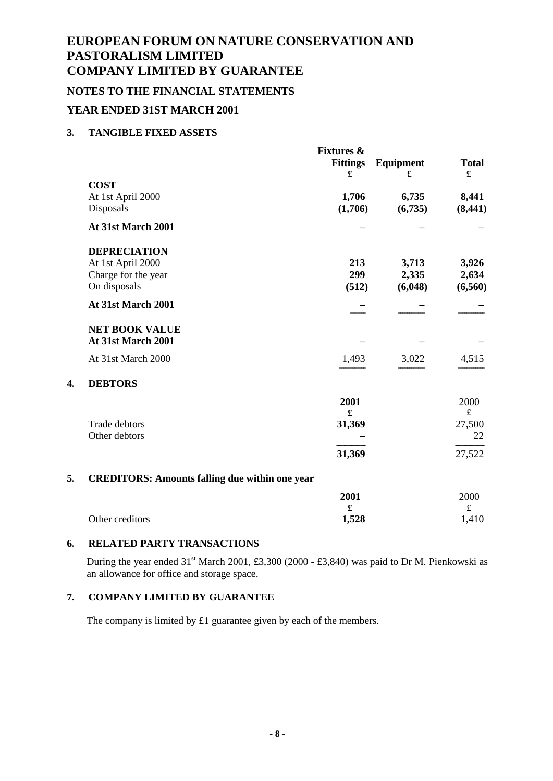### **NOTES TO THE FINANCIAL STATEMENTS**

### **YEAR ENDED 31ST MARCH 2001**

#### **3. TANGIBLE FIXED ASSETS**

**4. DEBTORS**

|    |                                                       | <b>Fixtures &amp;</b><br><b>Fittings</b><br>£ | Equipment<br>£ | <b>Total</b><br>£ |
|----|-------------------------------------------------------|-----------------------------------------------|----------------|-------------------|
|    | <b>COST</b>                                           |                                               |                |                   |
|    | At 1st April 2000                                     | 1,706                                         | 6,735          | 8,441             |
|    | Disposals                                             | (1,706)                                       | (6,735)        | (8, 441)          |
|    | At 31st March 2001                                    |                                               |                |                   |
|    | <b>DEPRECIATION</b>                                   |                                               |                |                   |
|    | At 1st April 2000                                     | 213                                           | 3,713          | 3,926             |
|    | Charge for the year                                   | 299                                           | 2,335          | 2,634             |
|    | On disposals                                          | (512)                                         | (6,048)        | (6, 560)          |
|    | At 31st March 2001                                    |                                               |                |                   |
|    | <b>NET BOOK VALUE</b>                                 |                                               |                |                   |
|    | At 31st March 2001                                    |                                               |                |                   |
|    | At 31st March 2000                                    | 1,493                                         | 3,022          | 4,515             |
| 4. | <b>DEBTORS</b>                                        |                                               |                |                   |
|    |                                                       | 2001                                          |                | 2000              |
|    |                                                       | £                                             |                | $\mathbf f$       |
|    | <b>Trade debtors</b>                                  | 31,369                                        |                | 27,500            |
|    | Other debtors                                         |                                               |                | 22                |
|    |                                                       | 31,369                                        |                | 27,522            |
| 5. | <b>CREDITORS: Amounts falling due within one year</b> |                                               |                |                   |
|    |                                                       | 2001                                          |                | 2000              |
|    |                                                       | £                                             |                | $\pounds$         |
|    | Other creditors                                       | 1,528                                         |                | 1,410             |
|    |                                                       |                                               |                |                   |

### **6. RELATED PARTY TRANSACTIONS**

During the year ended 31<sup>st</sup> March 2001, £3,300 (2000 - £3,840) was paid to Dr M. Pienkowski as an allowance for office and storage space.

### **7. COMPANY LIMITED BY GUARANTEE**

The company is limited by £1 guarantee given by each of the members.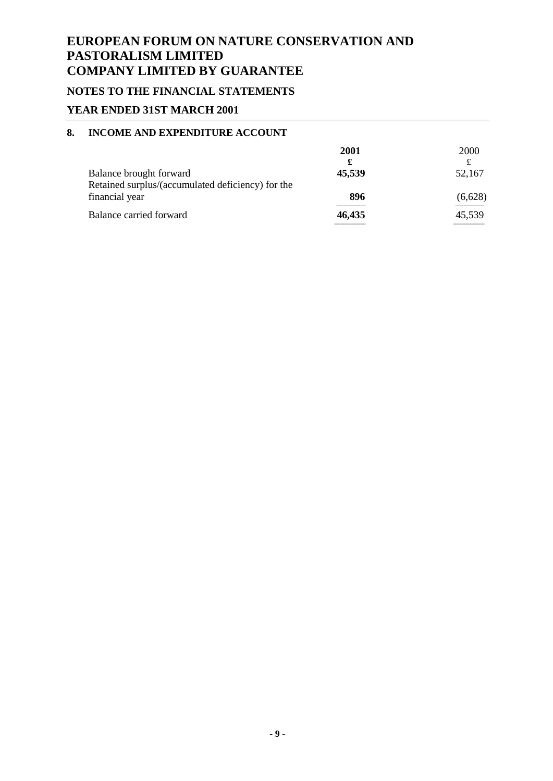## **NOTES TO THE FINANCIAL STATEMENTS**

### **YEAR ENDED 31ST MARCH 2001**

### **8. INCOME AND EXPENDITURE ACCOUNT**

|                                                   | 2001                          | 2000    |
|---------------------------------------------------|-------------------------------|---------|
|                                                   |                               |         |
| Balance brought forward                           | 45,539                        | 52,167  |
| Retained surplus/(accumulated deficiency) for the |                               |         |
| financial year                                    | 896                           | (6,628) |
| Balance carried forward                           | 46,435<br>------------------- | 45,539  |
|                                                   |                               |         |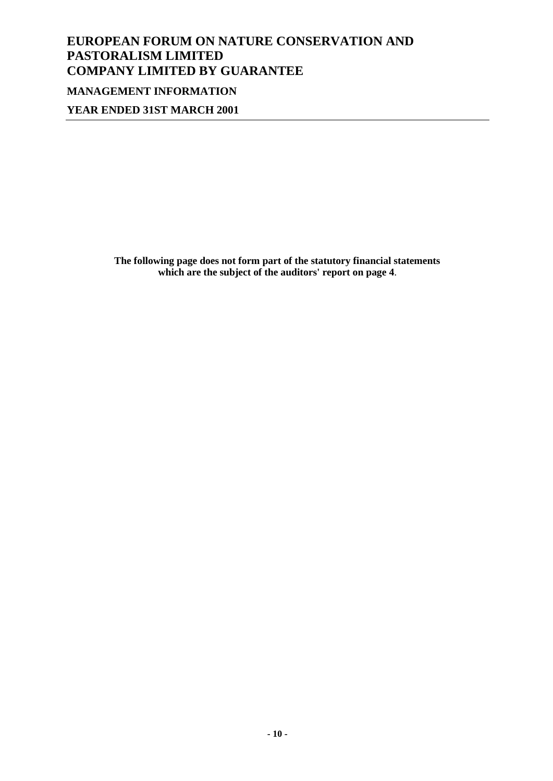# **EUROPEAN FORUM ON NATURE CONSERVATION AND PASTORALISM LIMITED COMPANY LIMITED BY GUARANTEE MANAGEMENT INFORMATION**

**YEAR ENDED 31ST MARCH 2001**

**The following page does not form part of the statutory financial statements which are the subject of the auditors' report on page 4**.